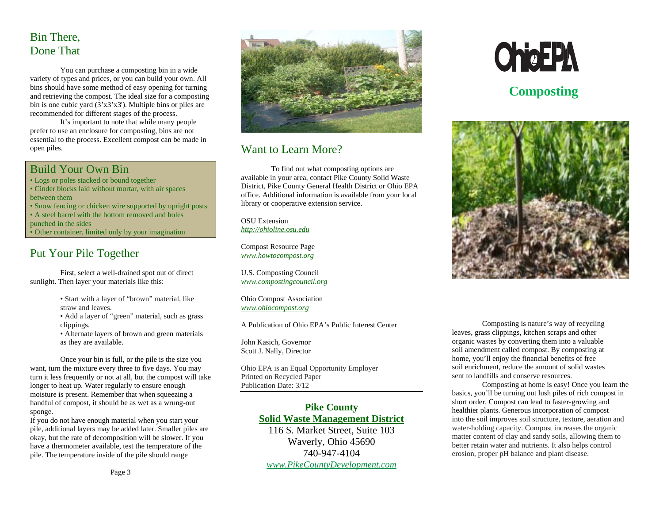# Bin There, Done That

You can purchase a composting bin in a wide variety of types and prices, or you can build your own. All bins should have some method of easy opening for turning and retrieving the compost. The ideal size for a composting bin is one cubic yard (3'x3'x3'). Multiple bins or piles are recommended for different stages of the process.

It's important to note that while many people prefer to use an enclosure for composting, bins are not essential to the process. Excellent compost can be made in open piles.

#### Build Your Own Bin

- Logs or poles stacked or bound together
- Cinder blocks laid without mortar, with air spaces between them
- Snow fencing or chicken wire supported by upright posts
- A steel barrel with the bottom removed and holes
- punched in the sides
- Other container, limited only by your imagination

## Put Your Pile Together

First, select a well-drained spot out of direct sunlight. Then layer your materials like this:

- Start with a layer of "brown" material, like straw and leaves.
- Add a layer of "green" material, such as grass clippings.
- Alternate layers of brown and green materials as they are available.

Once your bin is full, or the pile is the size you want, turn the mixture every three to five days. You may turn it less frequently or not at all, but the compost will take longer to heat up. Water regularly to ensure enough moisture is present. Remember that when squeezing a handful of compost, it should be as wet as a wrung-out sponge.

If you do not have enough material when you start your pile, additional layers may be added later. Smaller piles are okay, but the rate of decomposition will be slower. If you have a thermometer available, test the temperature of the pile. The temperature inside of the pile should range



# Want to Learn More?

To find out what composting options are available in your area, contact Pike County Solid Waste District, Pike County General Health District or Ohio EPA office. Additional information is available from your local library or cooperative extension service.

OSU Extension *http://ohioline.osu.edu*

Compost Resource Page *www.howtocompost.org*

U.S. Composting Council *www.compostingcouncil.org*

Ohio Compost Association *www.ohiocompost.org*

A Publication of Ohio EPA's Public Interest Center

John Kasich, Governor Scott J. Nally, Director

Ohio EPA is an Equal Opportunity Employer Printed on Recycled Paper Publication Date: 3/12

#### **Pike County Solid Waste Management District**

116 S. Market Street, Suite 103 Waverly, Ohio 45690 740-947-4104 *www.PikeCountyDevelopment.com*



# **Composting**



Composting is nature's way of recycling leaves, grass clippings, kitchen scraps and other organic wastes by converting them into a valuable soil amendment called compost. By composting at home, you'll enjoy the financial benefits of free soil enrichment, reduce the amount of solid wastes sent to landfills and conserve resources.

Composting at home is easy! Once you learn the basics, you'll be turning out lush piles of rich compost in short order. Compost can lead to faster-growing and healthier plants. Generous incorporation of compost into the soil improves soil structure, texture, aeration and water-holding capacity. Compost increases the organic matter content of clay and sandy soils, allowing them to better retain water and nutrients. It also helps control erosion, proper pH balance and plant disease.